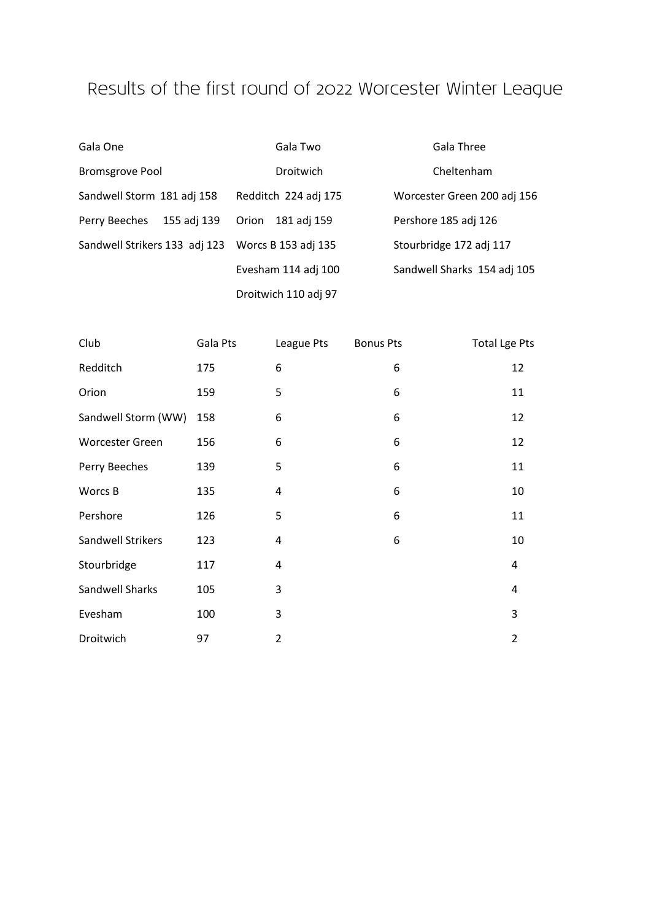## Results of the first round of 2022 Worcester Winter League

| Gala One                      | Gala Two             | Gala Three                  |
|-------------------------------|----------------------|-----------------------------|
| <b>Bromsgrove Pool</b>        | Droitwich            | Cheltenham                  |
| Sandwell Storm 181 adj 158    | Redditch 224 adj 175 | Worcester Green 200 adj 156 |
| 155 adj 139<br>Perry Beeches  | 181 adj 159<br>Orion | Pershore 185 adj 126        |
| Sandwell Strikers 133 adj 123 | Worcs B 153 adj 135  | Stourbridge 172 adj 117     |
|                               | Evesham 114 adj 100  | Sandwell Sharks 154 adj 105 |
|                               | Droitwich 110 adj 97 |                             |

| Club                   | Gala Pts | League Pts     | <b>Bonus Pts</b> | Total Lge Pts  |
|------------------------|----------|----------------|------------------|----------------|
| Redditch               | 175      | 6              | 6                | 12             |
| Orion                  | 159      | 5              | 6                | 11             |
| Sandwell Storm (WW)    | 158      | 6              | 6                | 12             |
| <b>Worcester Green</b> | 156      | 6              | 6                | 12             |
| Perry Beeches          | 139      | 5              | 6                | 11             |
| Worcs B                | 135      | 4              | 6                | 10             |
| Pershore               | 126      | 5              | 6                | 11             |
| Sandwell Strikers      | 123      | 4              | 6                | 10             |
| Stourbridge            | 117      | 4              |                  | 4              |
| Sandwell Sharks        | 105      | 3              |                  | 4              |
| Evesham                | 100      | 3              |                  | 3              |
| Droitwich              | 97       | $\overline{2}$ |                  | $\overline{2}$ |